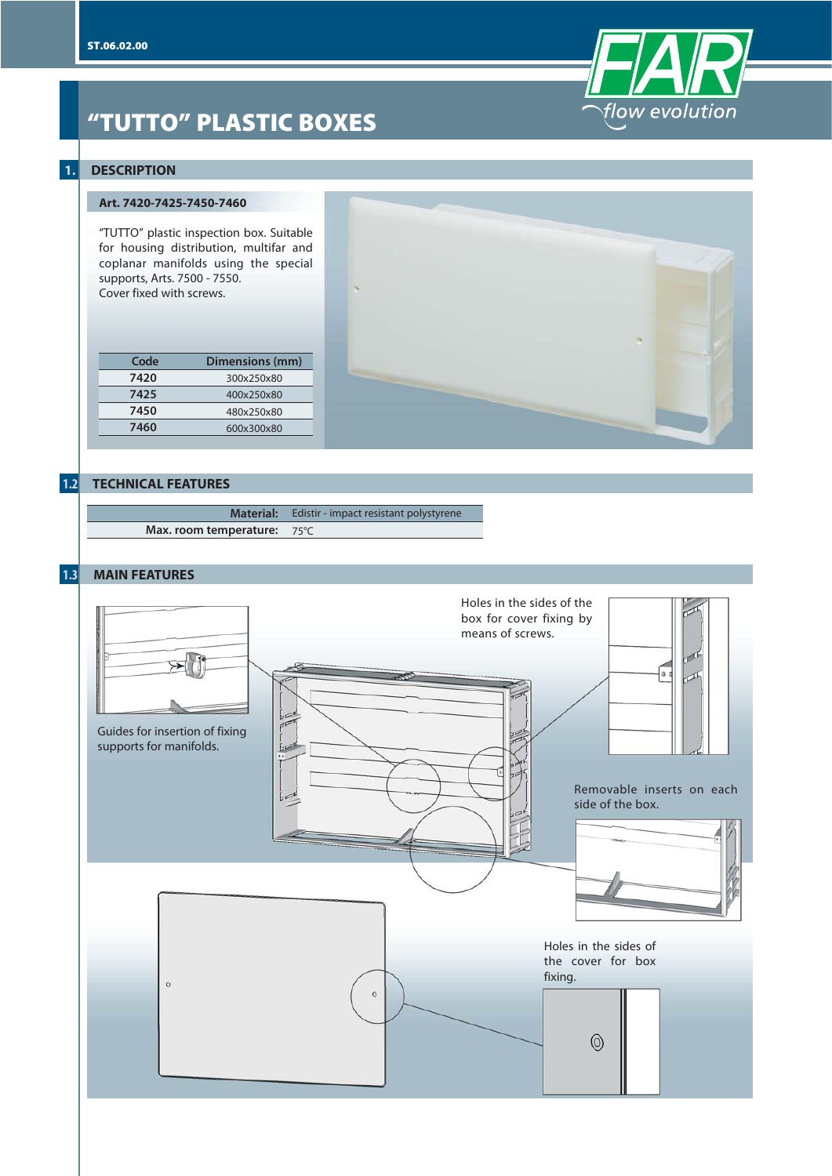

# **"TUTTO" PLASTIC BOXES**

## **1. DESCRIPTION**

### **Art. 7420-7425-7450-7460**

"TUTTO" plastic inspection box. Suitable for housing distribution, multifar and coplanar manifolds using the special supports, Arts. 7500 - 7550. Cover fixed with screws.

| Code | Dimensions (mm) |
|------|-----------------|
| 7420 | 300x250x80      |
| 7425 | 400x250x80      |
| 7450 | 480x250x80      |
| 7460 | 600x300x80      |
|      |                 |



|                             | <b>Material:</b> Edistir - impact resistant polystyrene |
|-----------------------------|---------------------------------------------------------|
| Max. room temperature: 75°C |                                                         |

## **1.3 MAIN FEATURES**

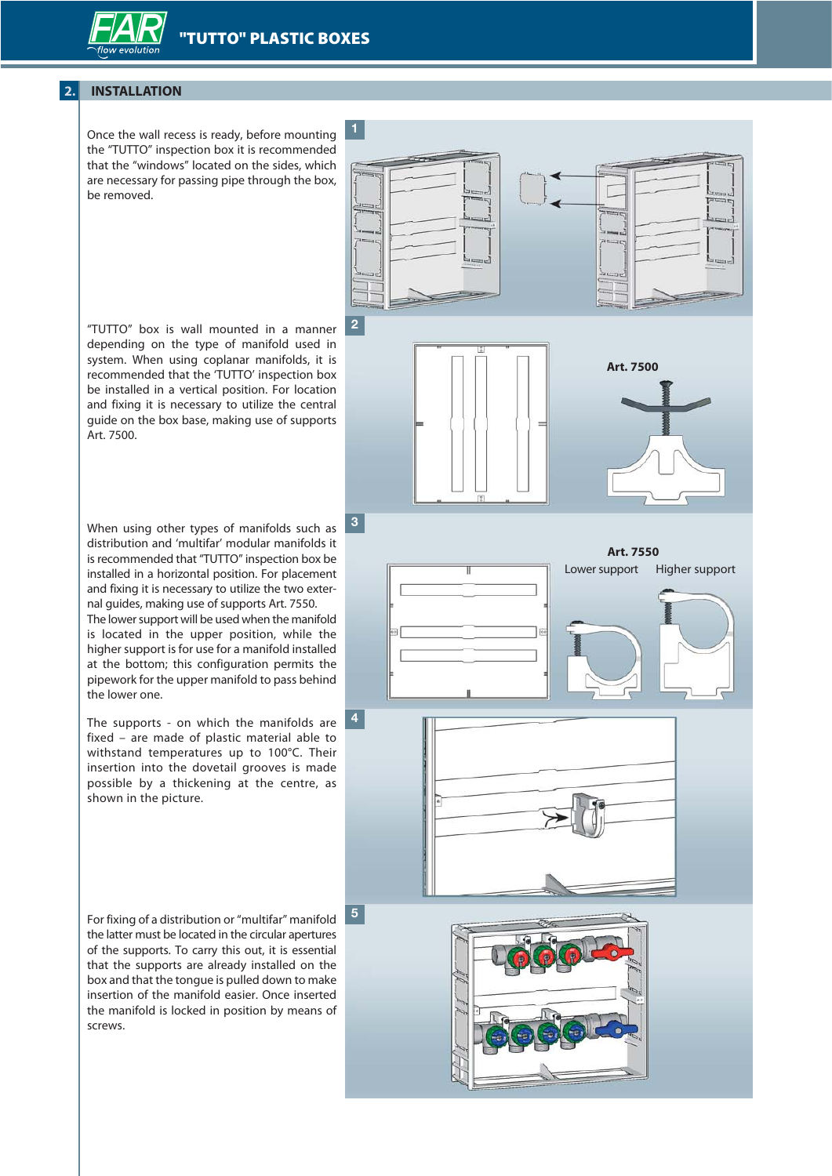

## **2. INSTALLATION**

Once the wall recess is ready, before mounting the "TUTTO" inspection box it is recommended that the "windows" located on the sides, which are necessary for passing pipe through the box, be removed.

**Art. 7500 2**

"TUTTO" box is wall mounted in a manner depending on the type of manifold used in system. When using coplanar manifolds, it is recommended that the 'TUTTO' inspection box be installed in a vertical position. For location and fixing it is necessary to utilize the central guide on the box base, making use of supports Art. 7500.

When using other types of manifolds such as distribution and 'multifar' modular manifolds it is recommended that "TUTTO" inspection box be installed in a horizontal position. For placement and fixing it is necessary to utilize the two external guides, making use of supports Art. 7550.

The lower support will be used when the manifold is located in the upper position, while the higher support is for use for a manifold installed at the bottom; this configuration permits the pipework for the upper manifold to pass behind the lower one.

The supports - on which the manifolds are fixed – are made of plastic material able to withstand temperatures up to 100°C. Their insertion into the dovetail grooves is made possible by a thickening at the centre, as shown in the picture.

**4**

**5**

For fixing of a distribution or "multifar" manifold the latter must be located in the circular apertures of the supports. To carry this out, it is essential that the supports are already installed on the box and that the tongue is pulled down to make insertion of the manifold easier. Once inserted the manifold is locked in position by means of screws.





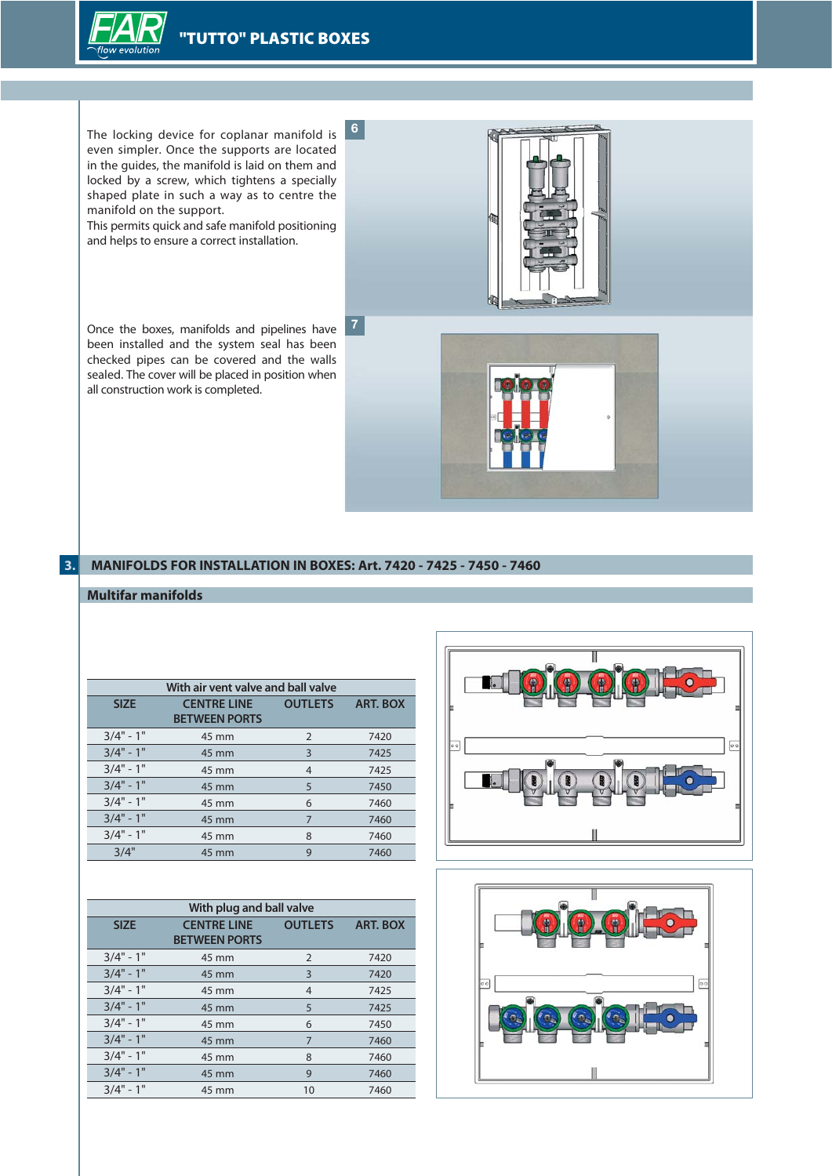

manifold on the support.



**3. MANIFOLDS FOR INSTALLATION IN BOXES: Art. 7420 - 7425 - 7450 - 7460**

## **Multifar manifolds**

all construction work is completed.

|             | With air vent valve and ball valve         |                |                 |  |
|-------------|--------------------------------------------|----------------|-----------------|--|
| <b>SIZE</b> | <b>CENTRE LINE</b><br><b>BETWEEN PORTS</b> | <b>OUTLETS</b> | <b>ART, BOX</b> |  |
| $3/4" - 1"$ | 45 mm                                      | 2              | 7420            |  |
| $3/4" - 1"$ | 45 mm                                      | 3              | 7425            |  |
| $3/4" - 1"$ | 45 mm                                      | 4              | 7425            |  |
| $3/4" - 1"$ | 45 mm                                      | 5              | 7450            |  |
| $3/4" - 1"$ | 45 mm                                      | 6              | 7460            |  |
| $3/4" - 1"$ | 45 mm                                      | 7              | 7460            |  |
| $3/4" - 1"$ | 45 mm                                      | 8              | 7460            |  |
| 3/4"        | 45 mm                                      | 9              | 7460            |  |

| With plug and ball valve |                      |                |                 |
|--------------------------|----------------------|----------------|-----------------|
| <b>SIZE</b>              | <b>CENTRE LINE</b>   | <b>OUTLETS</b> | <b>ART. BOX</b> |
|                          | <b>BETWEEN PORTS</b> |                |                 |
| $3/4" - 1"$              | 45 mm                | 2              | 7420            |
| $3/4" - 1"$              | 45 mm                | 3              | 7420            |
| $3/4" - 1"$              | 45 mm                | 4              | 7425            |
| $3/4" - 1"$              | 45 mm                | 5              | 7425            |
| $3/4" - 1"$              | 45 mm                | 6              | 7450            |
| $3/4" - 1"$              | 45 mm                | 7              | 7460            |
| $3/4" - 1"$              | 45 mm                | 8              | 7460            |
| $3/4" - 1"$              | 45 mm                | 9              | 7460            |
| $3/4" - 1"$              | 45 mm                | 10             | 7460            |



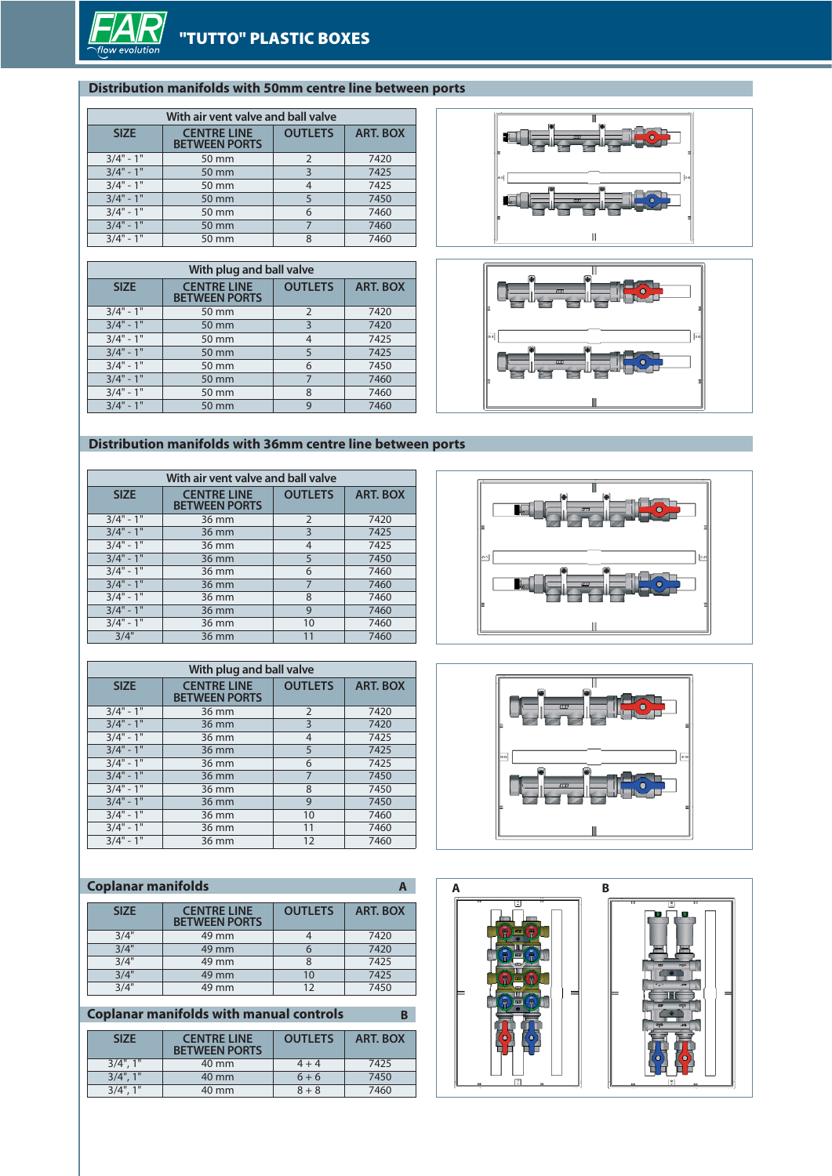

## **Distribution manifolds with 50mm centre line between ports**

| With air vent valve and ball valve                        |       |                         |                 |
|-----------------------------------------------------------|-------|-------------------------|-----------------|
| <b>CENTRE LINE</b><br><b>SIZE</b><br><b>BETWEEN PORTS</b> |       | <b>OUTLETS</b>          | <b>ART. BOX</b> |
| $3/4" - 1"$                                               | 50 mm | $\overline{2}$          | 7420            |
| $3/4" - 1"$                                               | 50 mm | $\overline{\mathbf{3}}$ | 7425            |
| $3/4" - 1"$                                               | 50 mm | $\overline{4}$          | 7425            |
| $3/4" - 1"$                                               | 50 mm | 5                       | 7450            |
| $3/4" - 1"$                                               | 50 mm | 6                       | 7460            |
| $3/4" - 1"$                                               | 50 mm |                         | 7460            |
| $3/4" - 1"$                                               | 50 mm | 8                       | 7460            |

| With plug and ball valve |                                            |                |                 |
|--------------------------|--------------------------------------------|----------------|-----------------|
| <b>SIZE</b>              | <b>CENTRE LINE</b><br><b>BETWEEN PORTS</b> | <b>OUTLETS</b> | <b>ART. BOX</b> |
| $3/4" - 1"$              | 50 mm                                      | 2              | 7420            |
| $3/4" - 1"$              | 50 mm                                      | 3              | 7420            |
| $3/4" - 1"$              | 50 mm                                      | 4              | 7425            |
| $3/4" - 1"$              | 50 mm                                      | 5              | 7425            |
| $3/4" - 1"$              | 50 mm                                      | 6              | 7450            |
| $3/4" - 1"$              | 50 mm                                      | 7              | 7460            |
| $3/4" - 1"$              | 50 mm                                      | 8              | 7460            |
| $3/4" - 1"$              | $50 \text{ mm}$                            | 9              | 7460            |





## **Distribution manifolds with 36mm centre line between ports**

| With air vent valve and ball valve |                                            |                |                 |
|------------------------------------|--------------------------------------------|----------------|-----------------|
| <b>SIZE</b>                        | <b>CENTRE LINE</b><br><b>BETWEEN PORTS</b> | <b>OUTLETS</b> | <b>ART. BOX</b> |
| $3/4" - 1"$                        | 36 mm                                      | $\overline{2}$ | 7420            |
| $3/4" - 1"$                        | 36 mm                                      | 3              | 7425            |
| $3/4" - 1"$                        | 36 mm                                      | 4              | 7425            |
| $3/4" - 1"$                        | 36 mm                                      | 5              | 7450            |
| $3/4" - 1"$                        | 36 mm                                      | 6              | 7460            |
| $3/4" - 1"$                        | 36 mm                                      | 7              | 7460            |
| $3/4" - 1"$                        | 36 mm                                      | 8              | 7460            |
| $3/4" - 1"$                        | 36 mm                                      | 9              | 7460            |
| $3/4" - 1"$                        | 36 mm                                      | 10             | 7460            |
| 3/4"                               | 36 mm                                      | 11             | 7460            |

| With plug and ball valve |                                            |                |                 |
|--------------------------|--------------------------------------------|----------------|-----------------|
| <b>SIZE</b>              | <b>CENTRE LINE</b><br><b>BETWEEN PORTS</b> | <b>OUTLETS</b> | <b>ART. BOX</b> |
| $3/4" - 1"$              | 36 mm                                      | $\overline{2}$ | 7420            |
| $3/4" - 1"$              | 36 mm                                      | 3              | 7420            |
| $3/4" - 1"$              | 36 mm                                      | $\overline{4}$ | 7425            |
| $3/4" - 1"$              | 36 mm                                      | 5              | 7425            |
| $3/4" - 1"$              | 36 mm                                      | 6              | 7425            |
| $3/4" - 1"$              | 36 mm                                      | 7              | 7450            |
| $3/4" - 1"$              | 36 mm                                      | 8              | 7450            |
| $3/4" - 1"$              | 36 mm                                      | $\mathbf{Q}$   | 7450            |
| $3/4" - 1"$              | 36 mm                                      | 10             | 7460            |
| $3/4" - 1"$              | 36 mm                                      | 11             | 7460            |
| $3/4" - 1"$              | 36 mm                                      | 12             | 7460            |

#### **SIZE CENTRE LINE BETWEEN PORTS OUTLETS ART. BOX** 12/4" 49 mm 4 7420<br>3/4" 49 mm 6 7420 19 14" 49 mm 6 7420<br>
19 14" 49 mm 8 7425 49 mm 8 7425<br>49 mm 10 7425 12/4" 49 mm 10 7425<br>
29 mm 12 7450 49 mm **Coplanar manifolds**

**Coplanar manifolds with manual controls B**

| <b>SIZE</b>    | <b>CENTRE LINE</b><br><b>BETWEEN PORTS</b> | <b>OUTLETS</b> | <b>ART. BOX</b> |
|----------------|--------------------------------------------|----------------|-----------------|
| $3/4$ ", $1$ " | 40 mm                                      | $4 + 4$        | 7425            |
| $3/4$ ", $1$ " | 40 mm                                      | $6 + 6$        | 7450            |
| $3/4$ ", $1$ " | 40 mm                                      | $8 + 8$        | 7460            |





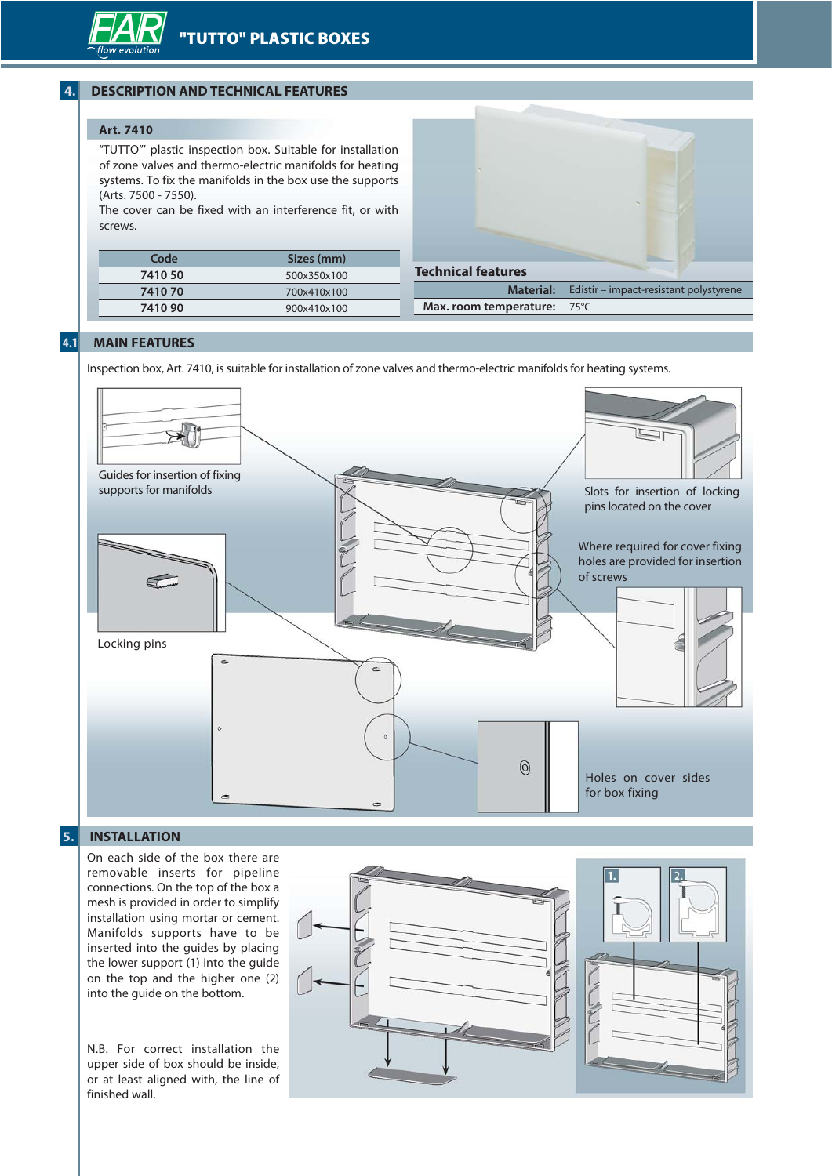## **4. DESCRIPTION AND TECHNICAL FEATURES**

## **Art. 7410**

"TUTTO"' plastic inspection box. Suitable for installation of zone valves and thermo-electric manifolds for heating systems. To fix the manifolds in the box use the supports (Arts. 7500 - 7550).

The cover can be fixed with an interference fit, or with screws.

| Code    | Sizes (mm)  |
|---------|-------------|
| 7410 50 | 500x350x100 |
| 741070  | 700x410x100 |
| 7410 90 | 900x410x100 |



#### **4.1 MAIN FEATURES**

Inspection box, Art. 7410, is suitable for installation of zone valves and thermo-electric manifolds for heating systems.



## **5. INSTALLATION**

On each side of the box there are removable inserts for pipeline connections. On the top of the box a mesh is provided in order to simplify installation using mortar or cement. Manifolds supports have to be inserted into the guides by placing the lower support (1) into the guide on the top and the higher one (2) into the guide on the bottom.

N.B. For correct installation the upper side of box should be inside, or at least aligned with, the line of finished wall.